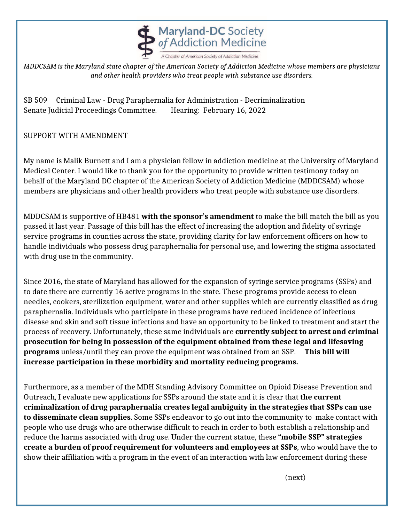

*MDDCSAM is the Maryland state chapter of the American Society of Addiction Medicine whose members are physicians and other health providers who treat people with substance use disorders.*

SB 509 Criminal Law - Drug Paraphernalia for Administration - Decriminalization Senate Judicial Proceedings Committee. Hearing: February 16, 2022

## SUPPORT WITH AMENDMENT

My name is Malik Burnett and I am a physician fellow in addiction medicine at the University of Maryland Medical Center. I would like to thank you for the opportunity to provide written testimony today on behalf of the Maryland DC chapter of the American Society of Addiction Medicine (MDDCSAM) whose members are physicians and other health providers who treat people with substance use disorders.

MDDCSAM is supportive of HB481 **with the sponsor's amendment** to make the bill match the bill as you passed it last year. Passage of this bill has the effect of increasing the adoption and fidelity of syringe service programs in counties across the state, providing clarity for law enforcement officers on how to handle individuals who possess drug paraphernalia for personal use, and lowering the stigma associated with drug use in the community.

Since 2016, the state of Maryland has allowed for the expansion of syringe service programs (SSPs) and to date there are currently 16 active programs in the state. These programs provide access to clean needles, cookers, sterilization equipment, water and other supplies which are currently classified as drug paraphernalia. Individuals who participate in these programs have reduced incidence of infectious disease and skin and soft tissue infections and have an opportunity to be linked to treatment and start the process of recovery. Unfortunately, these same individuals are **currently subject to arrest and criminal prosecution for being in possession of the equipment obtained from these legal and lifesaving programs** unless/until they can prove the equipment was obtained from an SSP. **This bill will increase participation in these morbidity and mortality reducing programs.** 

Furthermore, as a member of the MDH Standing Advisory Committee on Opioid Disease Prevention and Outreach, I evaluate new applications for SSPs around the state and it is clear that **the current criminalization of drug paraphernalia creates legal ambiguity in the strategies that SSPs can use to disseminate clean supplies**. Some SSPs endeavor to go out into the community to make contact with people who use drugs who are otherwise difficult to reach in order to both establish a relationship and reduce the harms associated with drug use. Under the current statue, these **"mobile SSP" strategies create a burden of proof requirement for volunteers and employees at SSPs**, who would have the to show their affiliation with a program in the event of an interaction with law enforcement during these